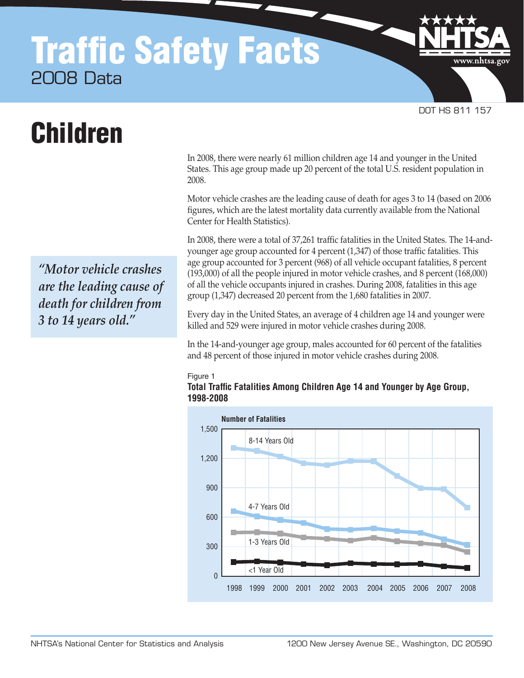# Traffic Safety Facts 2008 Data

Children

*"Motor vehicle crashes are the leading cause of death for children from 3 to 14 years old."*

In 2008, there were nearly 61 million children age 14 and younger in the United States. This age group made up 20 percent of the total U.S. resident population in 2008.

DOT HS 811 157

www.nhtsa.gov

Motor vehicle crashes are the leading cause of death for ages 3 to 14 (based on 2006 figures, which are the latest mortality data currently available from the National Center for Health Statistics).

In 2008, there were a total of 37,261 traffic fatalities in the United States. The 14-andyounger age group accounted for 4 percent (1,347) of those traffic fatalities. This age group accounted for 3 percent (968) of all vehicle occupant fatalities, 8 percent (193,000) of all the people injured in motor vehicle crashes, and 8 percent (168,000) of all the vehicle occupants injured in crashes. During 2008, fatalities in this age group (1,347) decreased 20 percent from the 1,680 fatalities in 2007.

Every day in the United States, an average of 4 children age 14 and younger were killed and 529 were injured in motor vehicle crashes during 2008.

In the 14-and-younger age group, males accounted for 60 percent of the fatalities and 48 percent of those injured in motor vehicle crashes during 2008.

#### Figure 1 **Total Traffic Fatalities Among Children Age 14 and Younger by Age Group, 1998-2008**

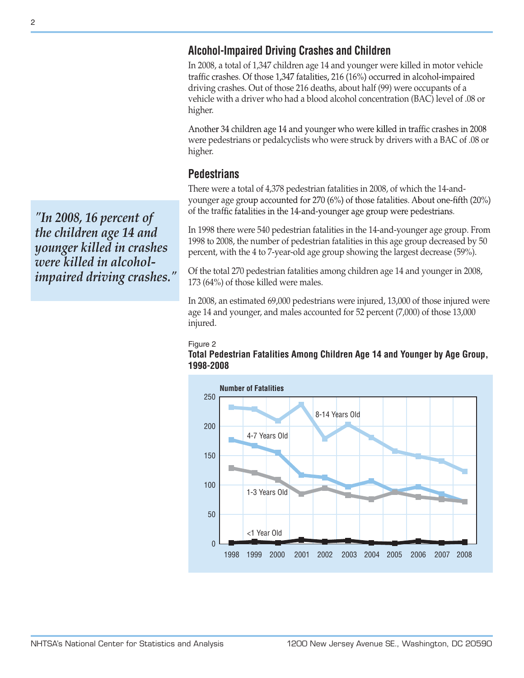# **Alcohol-Impaired Driving Crashes and Children**

In 2008, a total of 1,347 children age 14 and younger were killed in motor vehicle traffic crashes. Of those 1,347 fatalities, 216 (16%) occurred in alcohol-impaired driving crashes. Out of those 216 deaths, about half (99) were occupants of a vehicle with a driver who had a blood alcohol concentration (BAC) level of .08 or higher.

Another 34 children age 14 and younger who were killed in traffic crashes in 2008 were pedestrians or pedalcyclists who were struck by drivers with a BAC of .08 or higher.

# **Pedestrians**

There were a total of 4,378 pedestrian fatalities in 2008, of which the 14-andyounger age group accounted for 270 (6%) of those fatalities. About one-fifth (20%) of the traffic fatalities in the 14-and-younger age group were pedestrians.

In 1998 there were 540 pedestrian fatalities in the 14-and-younger age group. From 1998 to 2008, the number of pedestrian fatalities in this age group decreased by 50 percent, with the 4 to 7-year-old age group showing the largest decrease (59%).

Of the total 270 pedestrian fatalities among children age 14 and younger in 2008, 173 (64%) of those killed were males.

In 2008, an estimated 69,000 pedestrians were injured, 13,000 of those injured were age 14 and younger, and males accounted for 52 percent (7,000) of those 13,000 injured.

#### Figure 2





*"In 2008, 16 percent of the children age 14 and younger killed in crashes were killed in alcoholimpaired driving crashes."*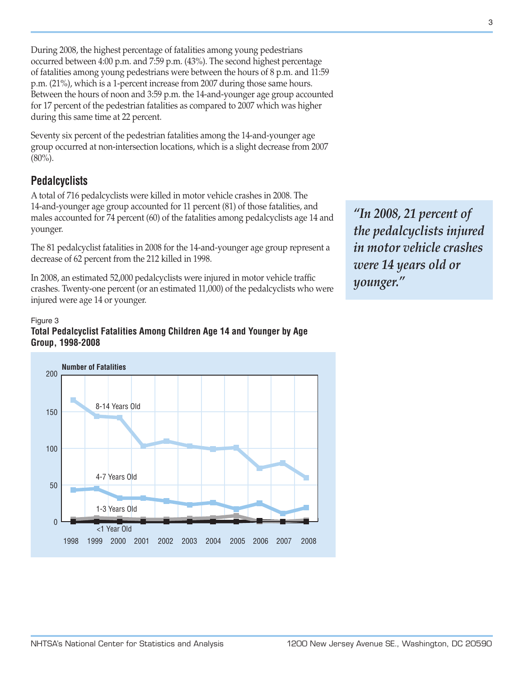During 2008, the highest percentage of fatalities among young pedestrians occurred between 4:00 p.m. and 7:59 p.m. (43%). The second highest percentage of fatalities among young pedestrians were between the hours of 8 p.m. and 11:59 p.m. (21%), which is a 1-percent increase from 2007 during those same hours. Between the hours of noon and 3:59 p.m. the 14-and-younger age group accounted for 17 percent of the pedestrian fatalities as compared to 2007 which was higher during this same time at 22 percent.

Seventy six percent of the pedestrian fatalities among the 14-and-younger age group occurred at non-intersection locations, which is a slight decrease from 2007  $(80\%)$ .

# **Pedalcyclists**

A total of 716 pedalcyclists were killed in motor vehicle crashes in 2008. The 14-and-younger age group accounted for 11 percent (81) of those fatalities, and males accounted for 74 percent (60) of the fatalities among pedalcyclists age 14 and younger.

The 81 pedalcyclist fatalities in 2008 for the 14-and-younger age group represent a decrease of 62 percent from the 212 killed in 1998.

In 2008, an estimated 52,000 pedalcyclists were injured in motor vehicle traffic crashes. Twenty-one percent (or an estimated 11,000) of the pedalcyclists who were injured were age 14 or younger.

#### Figure 3

### **Total Pedalcyclist Fatalities Among Children Age 14 and Younger by Age Group, 1998-2008**



*"In 2008, 21 percent of the pedalcyclists injured in motor vehicle crashes were 14 years old or younger."*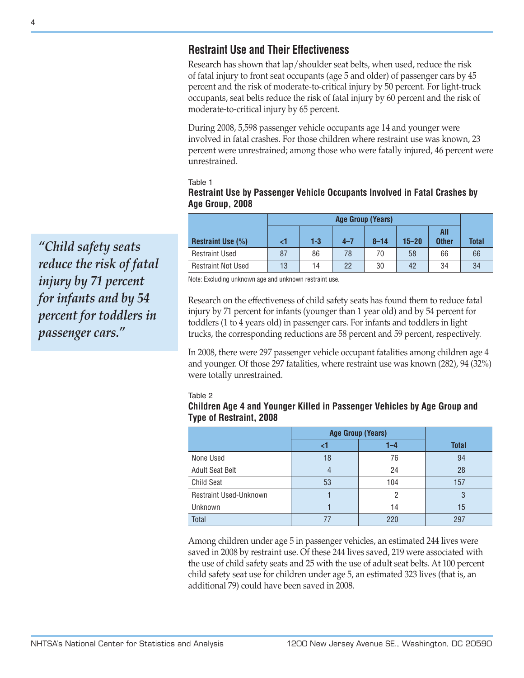# **Restraint Use and Their Effectiveness**

Research has shown that lap/shoulder seat belts, when used, reduce the risk of fatal injury to front seat occupants (age 5 and older) of passenger cars by 45 percent and the risk of moderate-to-critical injury by 50 percent. For light-truck occupants, seat belts reduce the risk of fatal injury by 60 percent and the risk of moderate-to-critical injury by 65 percent.

During 2008, 5,598 passenger vehicle occupants age 14 and younger were involved in fatal crashes. For those children where restraint use was known, 23 percent were unrestrained; among those who were fatally injured, 46 percent were unrestrained.

Table 1

## **Restraint Use by Passenger Vehicle Occupants Involved in Fatal Crashes by Age Group, 2008**

|                           | <b>Age Group (Years)</b> |       |         |          |           |                     |              |
|---------------------------|--------------------------|-------|---------|----------|-----------|---------------------|--------------|
| <b>Restraint Use (%)</b>  |                          | $1-3$ | $4 - 7$ | $8 - 14$ | $15 - 20$ | All<br><b>Other</b> | <b>Total</b> |
| <b>Restraint Used</b>     | 87                       | 86    | 78      | 70       | 58        | 66                  | 66           |
| <b>Restraint Not Used</b> | 13                       | 14    | 22      | 30       | 42        | 34                  | 34           |

Note: Excluding unknown age and unknown restraint use.

Research on the effectiveness of child safety seats has found them to reduce fatal injury by 71 percent for infants (younger than 1 year old) and by 54 percent for toddlers (1 to 4 years old) in passenger cars. For infants and toddlers in light trucks, the corresponding reductions are 58 percent and 59 percent, respectively.

In 2008, there were 297 passenger vehicle occupant fatalities among children age 4 and younger. Of those 297 fatalities, where restraint use was known (282), 94 (32%) were totally unrestrained.

#### Table 2

### **Children Age 4 and Younger Killed in Passenger Vehicles by Age Group and Type of Restraint, 2008**

|                               | <b>Age Group (Years)</b> |         |              |
|-------------------------------|--------------------------|---------|--------------|
|                               |                          | $1 - 4$ | <b>Total</b> |
| None Used                     | 18                       | 76      | 94           |
| <b>Adult Seat Belt</b>        |                          | 24      | 28           |
| <b>Child Seat</b>             | 53                       | 104     | 157          |
| <b>Restraint Used-Unknown</b> |                          | റ       | 3            |
| Unknown                       |                          | 14      | 15           |
| <b>Total</b>                  |                          | 220     | 297          |

Among children under age 5 in passenger vehicles, an estimated 244 lives were saved in 2008 by restraint use. Of these 244 lives saved, 219 were associated with the use of child safety seats and 25 with the use of adult seat belts. At 100 percent child safety seat use for children under age 5, an estimated 323 lives (that is, an additional 79) could have been saved in 2008.

*"Child safety seats reduce the risk of fatal injury by 71 percent for infants and by 54 percent for toddlers in passenger cars."*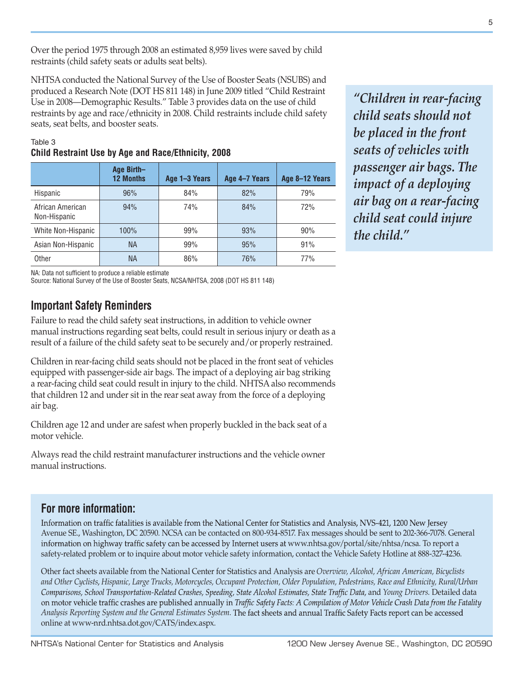Over the period 1975 through 2008 an estimated 8,959 lives were saved by child restraints (child safety seats or adults seat belts).

NHTSA conducted the National Survey of the Use of Booster Seats (NSUBS) and produced a Research Note (DOT HS 811 148) in June 2009 titled "Child Restraint Use in 2008—Demographic Results." Table 3 provides data on the use of child restraints by age and race/ethnicity in 2008. Child restraints include child safety seats, seat belts, and booster seats.

|                                  | Age Birth-<br><b>12 Months</b> | Age 1-3 Years | Age 4-7 Years | Age 8-12 Years |
|----------------------------------|--------------------------------|---------------|---------------|----------------|
| Hispanic                         | 96%                            | 84%           | 82%           | 79%            |
| African American<br>Non-Hispanic | 94%                            | 74%           | 84%           | 72%            |
| White Non-Hispanic               | 100%                           | 99%           | 93%           | 90%            |
| Asian Non-Hispanic               | <b>NA</b>                      | 99%           | 95%           | 91%            |
| Other                            | <b>NA</b>                      | 86%           | 76%           | 77%            |

## Table 3 **Child Restraint Use by Age and Race/Ethnicity, 2008**

*"Children in rear-facing child seats should not be placed in the front seats of vehicles with passenger air bags. The impact of a deploying air bag on a rear-facing child seat could injure the child."*

NA: Data not sufficient to produce a reliable estimate

Source: National Survey of the Use of Booster Seats, NCSA/NHTSA, 2008 (DOT HS 811 148)

## **Important Safety Reminders**

Failure to read the child safety seat instructions, in addition to vehicle owner manual instructions regarding seat belts, could result in serious injury or death as a result of a failure of the child safety seat to be securely and/or properly restrained.

Children in rear-facing child seats should not be placed in the front seat of vehicles equipped with passenger-side air bags. The impact of a deploying air bag striking a rear-facing child seat could result in injury to the child. NHTSA also recommends that children 12 and under sit in the rear seat away from the force of a deploying air bag.

Children age 12 and under are safest when properly buckled in the back seat of a motor vehicle.

Always read the child restraint manufacturer instructions and the vehicle owner manual instructions.

## **For more information:**

Information on traffic fatalities is available from the National Center for Statistics and Analysis, NVS-421, 1200 New Jersey Avenue SE., Washington, DC 20590. NCSA can be contacted on 800-934-8517. Fax messages should be sent to 202-366-7078. General information on highway traffic safety can be accessed by Internet users at www.nhtsa.gov/portal/site/nhtsa/ncsa. To report a safety-related problem or to inquire about motor vehicle safety information, contact the Vehicle Safety Hotline at 888-327-4236.

Other fact sheets available from the National Center for Statistics and Analysis are *Overview, Alcohol, African American, Bicyclists and Other Cyclists*, *Hispanic, Large Trucks, Motorcycles, Occupant Protection, Older Population, Pedestrians, Race and Ethnicity, Rural/Urban*  Comparisons, School Transportation-Related Crashes, Speeding, State Alcohol Estimates, State Traffic Data, and Young Drivers. Detailed data on motor vehicle traffic crashes are published annually in Traffic Safety Facts: A Compilation of Motor Vehicle Crash Data from the Fatality *Analysis Reporting System and the General Estimates System.*  online at www-nrd.nhtsa.dot.gov/CATS/index.aspx.